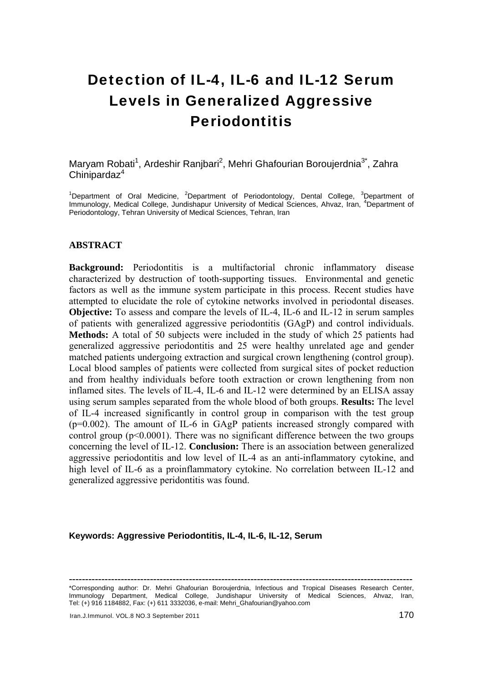# Detection of IL-4, IL-6 and IL-12 Serum Levels in Generalized Aggressive Periodontitis

Maryam Robati<sup>1</sup>, Ardeshir Ranjbari<sup>2</sup>, Mehri Ghafourian Boroujerdnia<sup>3\*</sup>, Zahra  $Chinipardaz<sup>4</sup>$ 

<sup>1</sup>Department of Oral Medicine, <sup>2</sup>Department of Periodontology, Dental College, <sup>3</sup>Department of Immunology, Medical College, Jundishapur University of Medical Sciences, Ahvaz, Iran, <sup>4</sup>Department of Periodontology, Tehran University of Medical Sciences, Tehran, Iran

#### **ABSTRACT**

**Background:** Periodontitis is a multifactorial chronic inflammatory disease characterized by destruction of tooth-supporting tissues. Environmental and genetic factors as well as the immune system participate in this process. Recent studies have attempted to elucidate the role of cytokine networks involved in periodontal diseases. **Objective:** To assess and compare the levels of IL-4, IL-6 and IL-12 in serum samples of patients with generalized aggressive periodontitis (GAgP) and control individuals. **Methods:** A total of 50 subjects were included in the study of which 25 patients had generalized aggressive periodontitis and 25 were healthy unrelated age and gender matched patients undergoing extraction and surgical crown lengthening (control group). Local blood samples of patients were collected from surgical sites of pocket reduction and from healthy individuals before tooth extraction or crown lengthening from non inflamed sites. The levels of IL-4, IL-6 and IL-12 were determined by an ELISA assay using serum samples separated from the whole blood of both groups. **Results:** The level of IL-4 increased significantly in control group in comparison with the test group (p=0.002). The amount of IL-6 in GAgP patients increased strongly compared with control group  $(p<0.0001)$ . There was no significant difference between the two groups concerning the level of IL-12. **Conclusion:** There is an association between generalized aggressive periodontitis and low level of IL-4 as an anti-inflammatory cytokine, and high level of IL-6 as a proinflammatory cytokine. No correlation between IL-12 and generalized aggressive peridontitis was found.

#### **Keywords: Aggressive Periodontitis, IL-4, IL-6, IL-12, Serum**

**----------------------------------------------------------------------------------------------------------** 

\*Corresponding author: Dr. Mehri Ghafourian Boroujerdnia, Infectious and Tropical Diseases Research Center, Immunology Department, Medical College, Jundishapur University of Medical Sciences, Ahvaz, Iran, Tel: (+) 916 1184882, Fax: (+) 611 3332036, e-mail: Mehri\_Ghafourian@yahoo.com

Iran.J.Immunol. VOL.8 NO.3 September 2011 170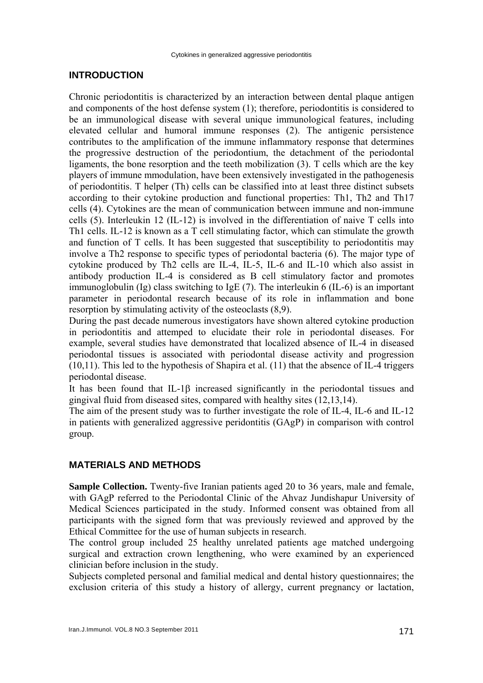# **INTRODUCTION**

Chronic periodontitis is characterized by an interaction between dental plaque antigen and components of the host defense system (1); therefore, periodontitis is considered to be an immunological disease with several unique immunological features, including elevated cellular and humoral immune responses (2). The antigenic persistence contributes to the amplification of the immune inflammatory response that determines the progressive destruction of the periodontium, the detachment of the periodontal ligaments, the bone resorption and the teeth mobilization (3). T cells which are the key players of immune mmodulation, have been extensively investigated in the pathogenesis of periodontitis. T helper (Th) cells can be classified into at least three distinct subsets according to their cytokine production and functional properties: Th1, Th2 and Th17 cells (4). Cytokines are the mean of communication between immune and non-immune cells (5). Interleukin 12 (IL-12) is involved in the differentiation of naive T cells into Th1 cells. IL-12 is known as a T cell stimulating factor, which can stimulate the growth and function of T cells. It has been suggested that susceptibility to periodontitis may involve a Th2 response to specific types of periodontal bacteria (6). The major type of cytokine produced by Th2 cells are IL-4, IL-5, IL-6 and IL-10 which also assist in antibody production IL-4 is considered as B cell stimulatory factor and promotes immunoglobulin (Ig) class switching to IgE (7). The interleukin 6 (IL-6) is an important parameter in periodontal research because of its role in inflammation and bone resorption by stimulating activity of the osteoclasts (8,9).

During the past decade numerous investigators have shown altered cytokine production in periodontitis and attemped to elucidate their role in periodontal diseases. For example, several studies have demonstrated that localized absence of IL-4 in diseased periodontal tissues is associated with periodontal disease activity and progression (10,11). This led to the hypothesis of Shapira et al. (11) that the absence of IL-4 triggers periodontal disease.

It has been found that IL-1β increased significantly in the periodontal tissues and gingival fluid from diseased sites, compared with healthy sites (12,13,14).

The aim of the present study was to further investigate the role of IL-4, IL-6 and IL-12 in patients with generalized aggressive peridontitis (GAgP) in comparison with control group.

#### **MATERIALS AND METHODS**

**Sample Collection.** Twenty-five Iranian patients aged 20 to 36 years, male and female, with GAgP referred to the Periodontal Clinic of the Ahvaz Jundishapur University of Medical Sciences participated in the study. Informed consent was obtained from all participants with the signed form that was previously reviewed and approved by the Ethical Committee for the use of human subjects in research.

The control group included 25 healthy unrelated patients age matched undergoing surgical and extraction crown lengthening, who were examined by an experienced clinician before inclusion in the study.

Subjects completed personal and familial medical and dental history questionnaires; the exclusion criteria of this study a history of allergy, current pregnancy or lactation,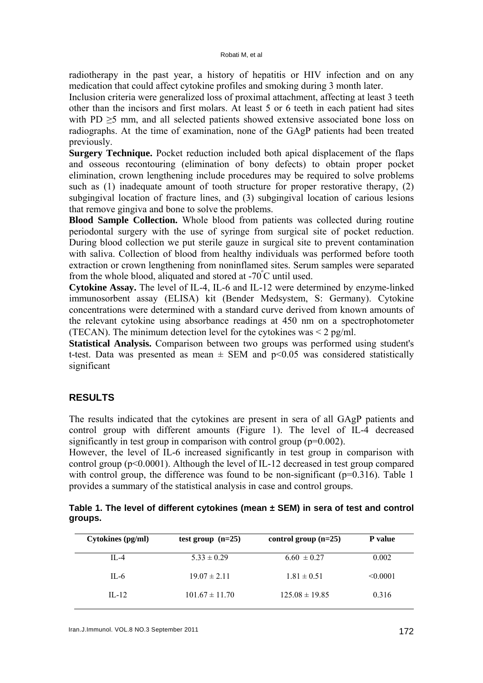radiotherapy in the past year, a history of hepatitis or HIV infection and on any medication that could affect cytokine profiles and smoking during 3 month later.

Inclusion criteria were generalized loss of proximal attachment, affecting at least 3 teeth other than the incisors and first molars. At least 5 or 6 teeth in each patient had sites with PD  $\geq$ 5 mm, and all selected patients showed extensive associated bone loss on radiographs. At the time of examination, none of the GAgP patients had been treated previously.

**Surgery Technique.** Pocket reduction included both apical displacement of the flaps and osseous recontouring (elimination of bony defects) to obtain proper pocket elimination, crown lengthening include procedures may be required to solve problems such as (1) inadequate amount of tooth structure for proper restorative therapy, (2) subgingival location of fracture lines, and (3) subgingival location of carious lesions that remove gingiva and bone to solve the problems.

**Blood Sample Collection.** Whole blood from patients was collected during routine periodontal surgery with the use of syringe from surgical site of pocket reduction. During blood collection we put sterile gauze in surgical site to prevent contamination with saliva. Collection of blood from healthy individuals was performed before tooth extraction or crown lengthening from noninflamed sites. Serum samples were separated from the whole blood, aliquated and stored at -70º C until used.

**Cytokine Assay.** The level of IL-4, IL-6 and IL-12 were determined by enzyme-linked immunosorbent assay (ELISA) kit (Bender Medsystem, S: Germany). Cytokine concentrations were determined with a standard curve derived from known amounts of the relevant cytokine using absorbance readings at 450 nm on a spectrophotometer (TECAN). The minimum detection level for the cytokines was  $\leq$  2 pg/ml.

**Statistical Analysis.** Comparison between two groups was performed using student's t-test. Data was presented as mean  $\pm$  SEM and p<0.05 was considered statistically significant

# **RESULTS**

The results indicated that the cytokines are present in sera of all GAgP patients and control group with different amounts (Figure 1). The level of IL-4 decreased significantly in test group in comparison with control group  $(p=0.002)$ .

However, the level of IL-6 increased significantly in test group in comparison with control group (p<0.0001). Although the level of IL-12 decreased in test group compared with control group, the difference was found to be non-significant ( $p=0.316$ ). Table 1 provides a summary of the statistical analysis in case and control groups.

|         |  |  |  | Table 1. The level of different cytokines (mean $\pm$ SEM) in sera of test and control |
|---------|--|--|--|----------------------------------------------------------------------------------------|
| groups. |  |  |  |                                                                                        |

| Cytokines (pg/ml) | test group $(n=25)$ | control group $(n=25)$ | <b>P</b> value |
|-------------------|---------------------|------------------------|----------------|
| $II - 4$          | $5.33 \pm 0.29$     | $6.60 \pm 0.27$        | 0.002          |
| $IL-6$            | $19.07 \pm 2.11$    | $1.81 \pm 0.51$        | < 0.0001       |
| $II - 12$         | $101.67 \pm 11.70$  | $125.08 \pm 19.85$     | 0.316          |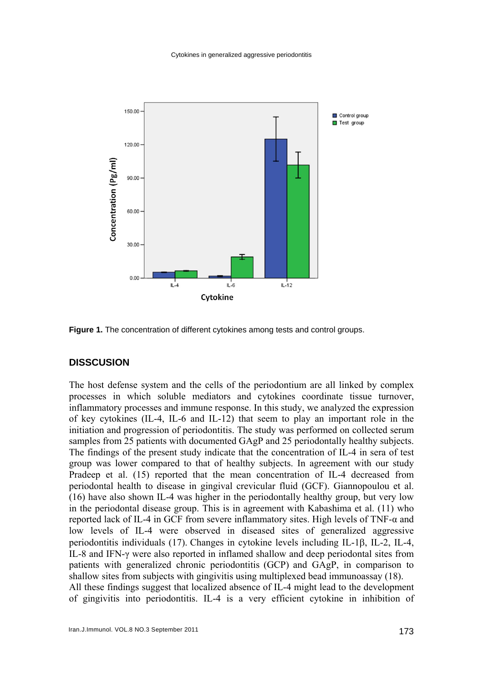

**Figure 1.** The concentration of different cytokines among tests and control groups.

## **DISSCUSION**

The host defense system and the cells of the periodontium are all linked by complex processes in which soluble mediators and cytokines coordinate tissue turnover, inflammatory processes and immune response. In this study, we analyzed the expression of key cytokines (IL-4, IL-6 and IL-12) that seem to play an important role in the initiation and progression of periodontitis. The study was performed on collected serum samples from 25 patients with documented GAgP and 25 periodontally healthy subjects. The findings of the present study indicate that the concentration of IL-4 in sera of test group was lower compared to that of healthy subjects. In agreement with our study Pradeep et al. (15) reported that the mean concentration of IL-4 decreased from periodontal health to disease in gingival crevicular fluid (GCF). Giannopoulou et al. (16) have also shown IL-4 was higher in the periodontally healthy group, but very low in the periodontal disease group. This is in agreement with Kabashima et al. (11) who reported lack of IL-4 in GCF from severe inflammatory sites. High levels of TNF-α and low levels of IL-4 were observed in diseased sites of generalized aggressive periodontitis individuals (17). Changes in cytokine levels including IL-1β, IL-2, IL-4, IL-8 and IFN-γ were also reported in inflamed shallow and deep periodontal sites from patients with generalized chronic periodontitis (GCP) and GAgP, in comparison to shallow sites from subjects with gingivitis using multiplexed bead immunoassay (18). All these findings suggest that localized absence of IL-4 might lead to the development of gingivitis into periodontitis. IL-4 is a very efficient cytokine in inhibition of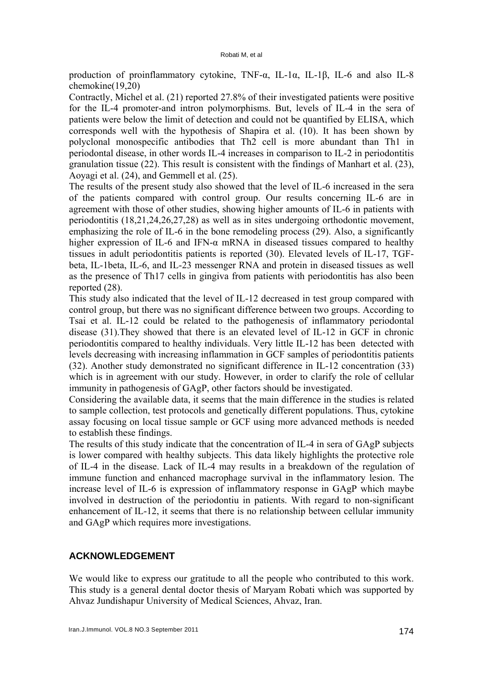production of proinflammatory cytokine, TNF-α, IL-1α, IL-1β, IL-6 and also IL-8 chemokine(19,20)

Contractly, Michel et al. (21) reported 27.8% of their investigated patients were positive for the IL-4 promoter-and intron polymorphisms. But, levels of IL-4 in the sera of patients were below the limit of detection and could not be quantified by ELISA, which corresponds well with the hypothesis of Shapira et al. (10). It has been shown by polyclonal monospecific antibodies that Th2 cell is more abundant than Th1 in periodontal disease, in other words IL-4 increases in comparison to IL-2 in periodontitis granulation tissue (22). This result is consistent with the findings of Manhart et al. (23), Aoyagi et al. (24), and Gemmell et al. (25).

The results of the present study also showed that the level of IL-6 increased in the sera of the patients compared with control group. Our results concerning IL-6 are in agreement with those of other studies, showing higher amounts of IL-6 in patients with periodontitis (18,21,24,26,27,28) as well as in sites undergoing orthodontic movement, emphasizing the role of IL-6 in the bone remodeling process (29). Also, a significantly higher expression of IL-6 and IFN- $\alpha$  mRNA in diseased tissues compared to healthy tissues in adult periodontitis patients is reported (30). Elevated levels of IL-17, TGFbeta, IL-1beta, IL-6, and IL-23 messenger RNA and protein in diseased tissues as well as the presence of Th17 cells in gingiva from patients with periodontitis has also been reported (28).

This study also indicated that the level of IL-12 decreased in test group compared with control group, but there was no significant difference between two groups. According to Tsai et al. IL-12 could be related to the pathogenesis of inflammatory periodontal disease (31).They showed that there is an elevated level of IL-12 in GCF in chronic periodontitis compared to healthy individuals. Very little IL-12 has been detected with levels decreasing with increasing inflammation in GCF samples of periodontitis patients (32). Another study demonstrated no significant difference in IL-12 concentration (33) which is in agreement with our study. However, in order to clarify the role of cellular immunity in pathogenesis of GAgP, other factors should be investigated.

Considering the available data, it seems that the main difference in the studies is related to sample collection, test protocols and genetically different populations. Thus, cytokine assay focusing on local tissue sample or GCF using more advanced methods is needed to establish these findings.

The results of this study indicate that the concentration of IL-4 in sera of GAgP subjects is lower compared with healthy subjects. This data likely highlights the protective role of IL-4 in the disease. Lack of IL-4 may results in a breakdown of the regulation of immune function and enhanced macrophage survival in the inflammatory lesion. The increase level of IL-6 is expression of inflammatory response in GAgP which maybe involved in destruction of the periodontiu in patients. With regard to non-significant enhancement of IL-12, it seems that there is no relationship between cellular immunity and GAgP which requires more investigations.

# **ACKNOWLEDGEMENT**

We would like to express our gratitude to all the people who contributed to this work. This study is a general dental doctor thesis of Maryam Robati which was supported by Ahvaz Jundishapur University of Medical Sciences, Ahvaz, Iran.